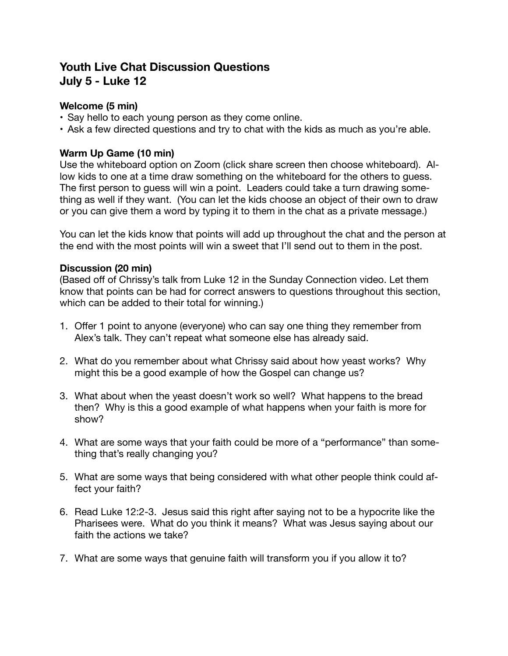# **Youth Live Chat Discussion Questions July 5 - Luke 12**

## **Welcome (5 min)**

- Say hello to each young person as they come online.
- Ask a few directed questions and try to chat with the kids as much as you're able.

#### **Warm Up Game (10 min)**

Use the whiteboard option on Zoom (click share screen then choose whiteboard). Allow kids to one at a time draw something on the whiteboard for the others to guess. The first person to guess will win a point. Leaders could take a turn drawing something as well if they want. (You can let the kids choose an object of their own to draw or you can give them a word by typing it to them in the chat as a private message.)

You can let the kids know that points will add up throughout the chat and the person at the end with the most points will win a sweet that I'll send out to them in the post.

#### **Discussion (20 min)**

(Based off of Chrissy's talk from Luke 12 in the Sunday Connection video. Let them know that points can be had for correct answers to questions throughout this section, which can be added to their total for winning.)

- 1. Offer 1 point to anyone (everyone) who can say one thing they remember from Alex's talk. They can't repeat what someone else has already said.
- 2. What do you remember about what Chrissy said about how yeast works? Why might this be a good example of how the Gospel can change us?
- 3. What about when the yeast doesn't work so well? What happens to the bread then? Why is this a good example of what happens when your faith is more for show?
- 4. What are some ways that your faith could be more of a "performance" than something that's really changing you?
- 5. What are some ways that being considered with what other people think could affect your faith?
- 6. Read Luke 12:2-3. Jesus said this right after saying not to be a hypocrite like the Pharisees were. What do you think it means? What was Jesus saying about our faith the actions we take?
- 7. What are some ways that genuine faith will transform you if you allow it to?